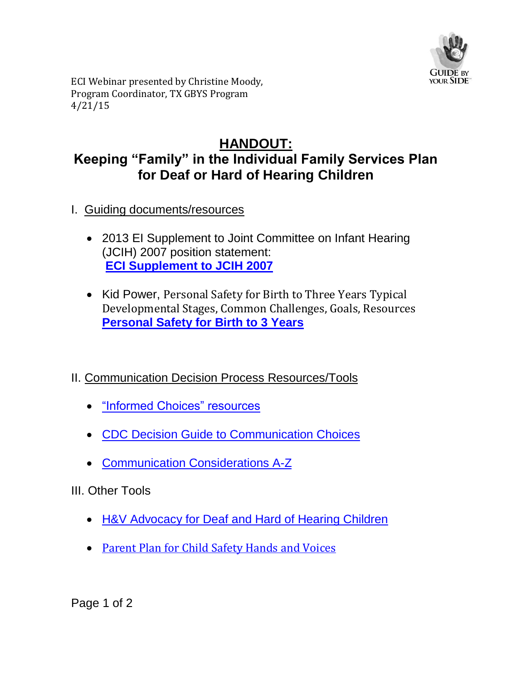

ECI Webinar presented by Christine Moody, Program Coordinator, TX GBYS Program 4/21/15

## **HANDOUT: Keeping "Family" in the Individual Family Services Plan for Deaf or Hard of Hearing Children**

- I. Guiding documents/resources
	- 2013 EI Supplement to Joint Committee on Infant Hearing (JCIH) 2007 position statement: **[ECI Supplement to JCIH 2007](http://pediatrics.aappublications.org/content/131/4/e1324.full?ijkey=3R4Jv9oSZOj8.&keytype=ref&siteid=aapjournals)**
	- Kid Power, Personal Safety for Birth to Three Years Typical Developmental Stages, Common Challenges, Goals, Resources **[Personal Safety for Birth to 3 Years](http://deafed-childabuse-neglect-col.wiki.educ.msu.edu/file/view/1-1%20Birth%20to%20Three%20Years.pdf/441996520/1-1%20Birth%20to%20Three%20Years.pdf)**
- II. Communication Decision Process Resources/Tools
	- ["Informed Choices" resources](http://dera.ioe.ac.uk/1929/1/informed%20choice%20families%20and%20deaf%20children%20-%20professional%20handbook.pdf)
	- [CDC Decision Guide to Communication Choices](http://www.cdc.gov/ncbddd/hearingloss/freematerials/Decision-Guide.pdf)
	- [Communication Considerations A-Z](http://www.handsandvoices.org/comcon/index.html)
- III. Other Tools
	- [H&V Advocacy for Deaf and Hard of Hearing Children](http://www.handsandvoices.org/astra/index.html)
	- [Parent Plan for Child Safety Hands and Voices](http://www.handsandvoices.org/resources/OUR/SafetyAttachmentIntro_v1.pdf)

Page 1 of 2